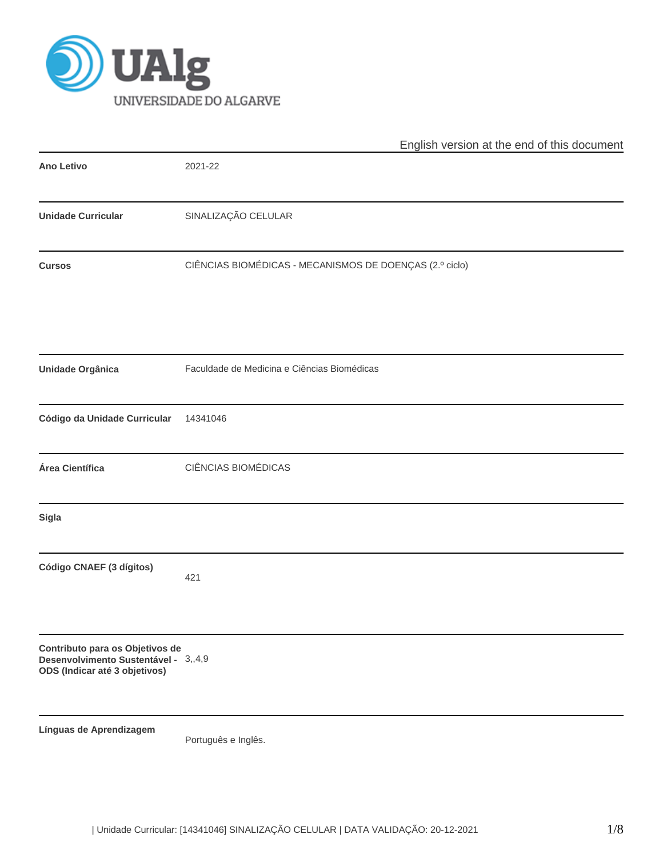

|                                                                                                          | English version at the end of this document             |
|----------------------------------------------------------------------------------------------------------|---------------------------------------------------------|
| <b>Ano Letivo</b>                                                                                        | 2021-22                                                 |
| <b>Unidade Curricular</b>                                                                                | SINALIZAÇÃO CELULAR                                     |
| <b>Cursos</b>                                                                                            | CIÊNCIAS BIOMÉDICAS - MECANISMOS DE DOENÇAS (2.º ciclo) |
| Unidade Orgânica                                                                                         | Faculdade de Medicina e Ciências Biomédicas             |
| Código da Unidade Curricular                                                                             | 14341046                                                |
| Área Científica                                                                                          | CIÊNCIAS BIOMÉDICAS                                     |
| Sigla                                                                                                    |                                                         |
| Código CNAEF (3 dígitos)                                                                                 | 421                                                     |
| Contributo para os Objetivos de<br>Desenvolvimento Sustentável - 3,,4,9<br>ODS (Indicar até 3 objetivos) |                                                         |
| Línguas de Aprendizagem                                                                                  | Português e Inglês.                                     |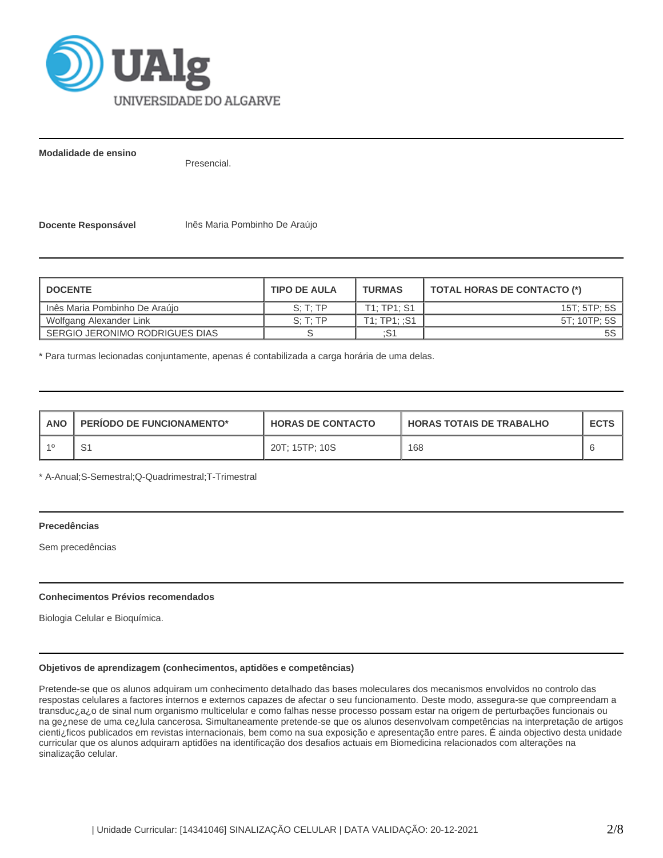

**Modalidade de ensino**

Presencial.

**Docente Responsável** Inês Maria Pombinho De Araújo

| <b>DOCENTE</b>                 | <b>TURMAS</b><br><b>TIPO DE AULA</b> |             | <b>TOTAL HORAS DE CONTACTO (*)</b> |  |  |
|--------------------------------|--------------------------------------|-------------|------------------------------------|--|--|
| Inês Maria Pombinho De Araújo  | $S \cdot T \cdot TP$                 | T1: TP1: S1 | 15T; 5TP; 5S                       |  |  |
| Wolfgang Alexander Link        | S: T: TP                             | T1:TP1:.S1  | 5T: 10TP: 5S                       |  |  |
| SERGIO JERONIMO RODRIGUES DIAS |                                      | :S1         |                                    |  |  |

\* Para turmas lecionadas conjuntamente, apenas é contabilizada a carga horária de uma delas.

| <b>ANO</b> | <b>PERIODO DE FUNCIONAMENTO*</b> | <b>HORAS DE CONTACTO</b> | <b>HORAS TOTAIS DE TRABALHO</b> | <b>ECTS</b> |
|------------|----------------------------------|--------------------------|---------------------------------|-------------|
|            |                                  | 20T; 15TP; 10S           | 168                             |             |

\* A-Anual;S-Semestral;Q-Quadrimestral;T-Trimestral

#### **Precedências**

Sem precedências

#### **Conhecimentos Prévios recomendados**

Biologia Celular e Bioquímica.

# **Objetivos de aprendizagem (conhecimentos, aptidões e competências)**

Pretende-se que os alunos adquiram um conhecimento detalhado das bases moleculares dos mecanismos envolvidos no controlo das respostas celulares a factores internos e externos capazes de afectar o seu funcionamento. Deste modo, assegura-se que compreendam a transduc¿a¿o de sinal num organismo multicelular e como falhas nesse processo possam estar na origem de perturbações funcionais ou na ge¿nese de uma ce¿lula cancerosa. Simultaneamente pretende-se que os alunos desenvolvam competências na interpretação de artigos cienti¿ficos publicados em revistas internacionais, bem como na sua exposição e apresentação entre pares. É ainda objectivo desta unidade curricular que os alunos adquiram aptidões na identificação dos desafios actuais em Biomedicina relacionados com alterações na sinalização celular.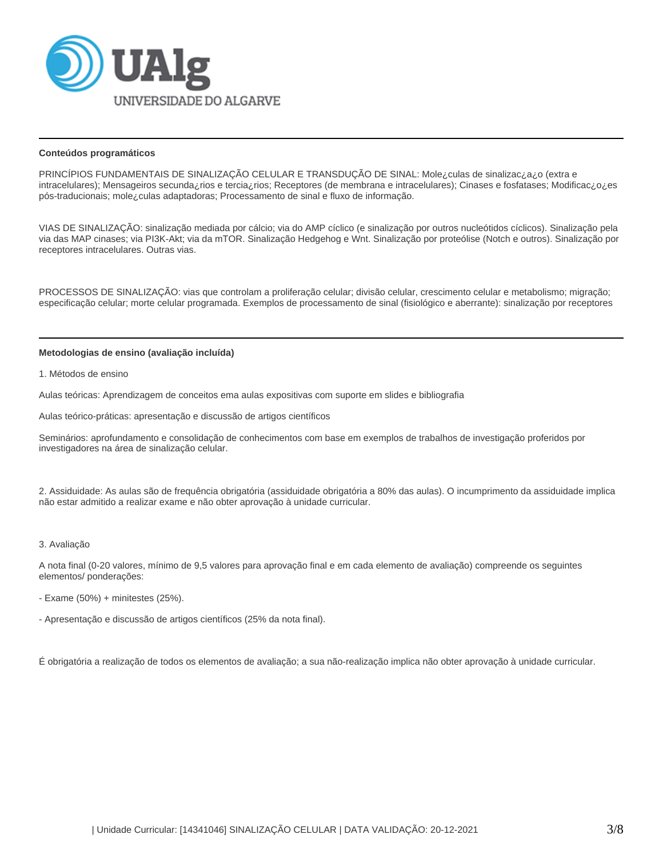

#### **Conteúdos programáticos**

PRINCÍPIOS FUNDAMENTAIS DE SINALIZAÇÃO CELULAR E TRANSDUÇÃO DE SINAL: Mole¿culas de sinalizac¿a¿o (extra e intracelulares); Mensageiros secunda¿rios e tercia¿rios; Receptores (de membrana e intracelulares); Cinases e fosfatases; Modificac¿o¿es pós-traducionais; mole¿culas adaptadoras; Processamento de sinal e fluxo de informação.

VIAS DE SINALIZAÇÃO: sinalização mediada por cálcio; via do AMP cíclico (e sinalização por outros nucleótidos cíclicos). Sinalização pela via das MAP cinases; via PI3K-Akt; via da mTOR. Sinalização Hedgehog e Wnt. Sinalização por proteólise (Notch e outros). Sinalização por receptores intracelulares. Outras vias.

PROCESSOS DE SINALIZAÇÃO: vias que controlam a proliferação celular; divisão celular, crescimento celular e metabolismo; migração; especificação celular; morte celular programada. Exemplos de processamento de sinal (fisiológico e aberrante): sinalização por receptores

#### **Metodologias de ensino (avaliação incluída)**

1. Métodos de ensino

Aulas teóricas: Aprendizagem de conceitos ema aulas expositivas com suporte em slides e bibliografia

Aulas teórico-práticas: apresentação e discussão de artigos científicos

Seminários: aprofundamento e consolidação de conhecimentos com base em exemplos de trabalhos de investigação proferidos por investigadores na área de sinalização celular.

2. Assiduidade: As aulas são de frequência obrigatória (assiduidade obrigatória a 80% das aulas). O incumprimento da assiduidade implica não estar admitido a realizar exame e não obter aprovação à unidade curricular.

#### 3. Avaliação

A nota final (0-20 valores, mínimo de 9,5 valores para aprovação final e em cada elemento de avaliação) compreende os seguintes elementos/ ponderações:

- Exame (50%) + minitestes (25%).

- Apresentação e discussão de artigos científicos (25% da nota final).

É obrigatória a realização de todos os elementos de avaliação; a sua não-realização implica não obter aprovação à unidade curricular.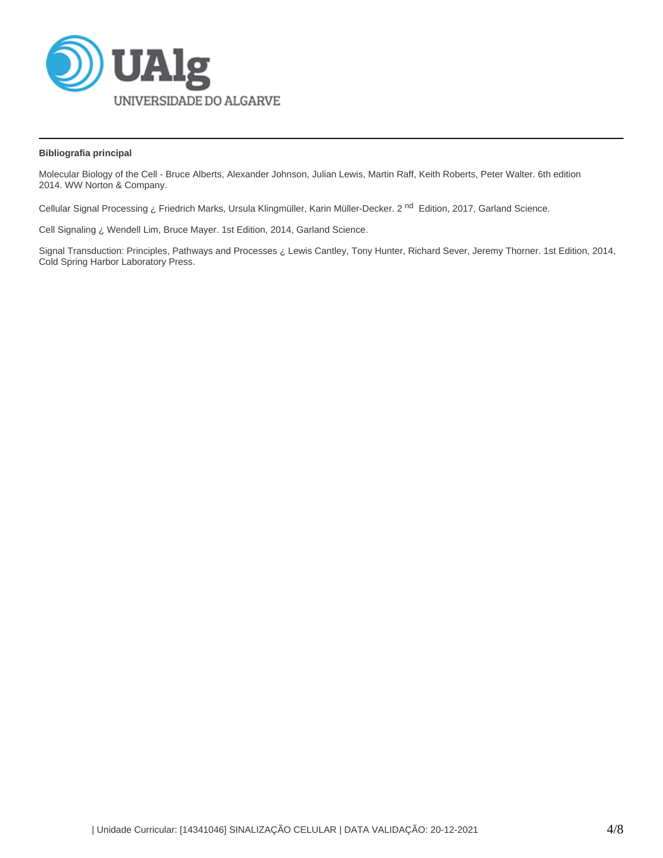

# **Bibliografia principal**

Molecular Biology of the Cell - Bruce Alberts, Alexander Johnson, Julian Lewis, Martin Raff, Keith Roberts, Peter Walter. 6th edition 2014. WW Norton & Company.

Cellular Signal Processing ¿ Friedrich Marks, Ursula Klingmüller, Karin Müller-Decker. 2<sup>nd</sup> Edition, 2017, Garland Science.

Cell Signaling ¿ Wendell Lim, Bruce Mayer. 1st Edition, 2014, Garland Science.

Signal Transduction: Principles, Pathways and Processes ¿ Lewis Cantley, Tony Hunter, Richard Sever, Jeremy Thorner. 1st Edition, 2014, Cold Spring Harbor Laboratory Press.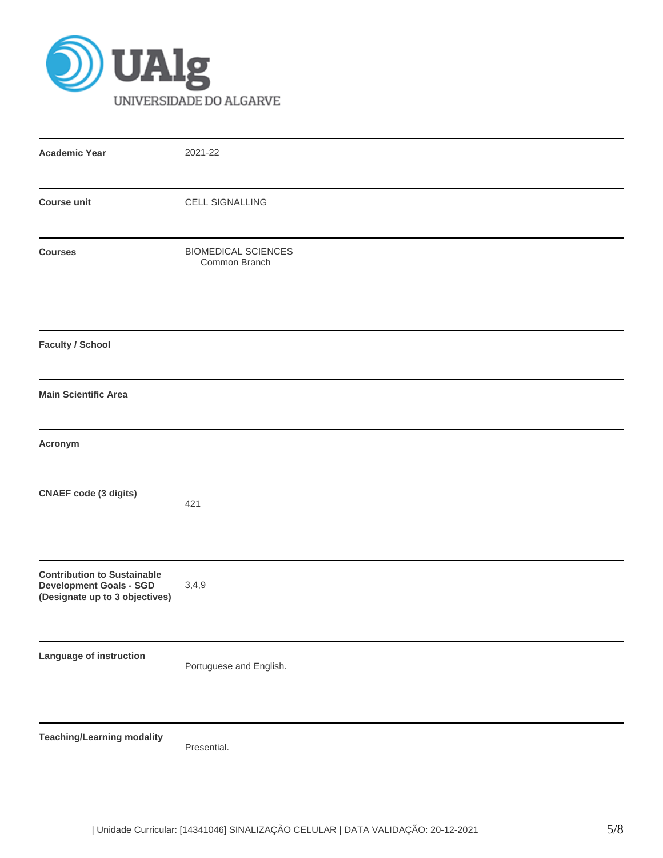

| <b>Academic Year</b>                                                                                   | 2021-22                                     |
|--------------------------------------------------------------------------------------------------------|---------------------------------------------|
|                                                                                                        |                                             |
| <b>Course unit</b>                                                                                     | <b>CELL SIGNALLING</b>                      |
| <b>Courses</b>                                                                                         | <b>BIOMEDICAL SCIENCES</b><br>Common Branch |
| <b>Faculty / School</b>                                                                                |                                             |
| <b>Main Scientific Area</b>                                                                            |                                             |
| Acronym                                                                                                |                                             |
| <b>CNAEF</b> code (3 digits)                                                                           | 421                                         |
| <b>Contribution to Sustainable</b><br><b>Development Goals - SGD</b><br>(Designate up to 3 objectives) | 3,4,9                                       |
| Language of instruction                                                                                | Portuguese and English.                     |
| <b>Teaching/Learning modality</b>                                                                      | Presential.                                 |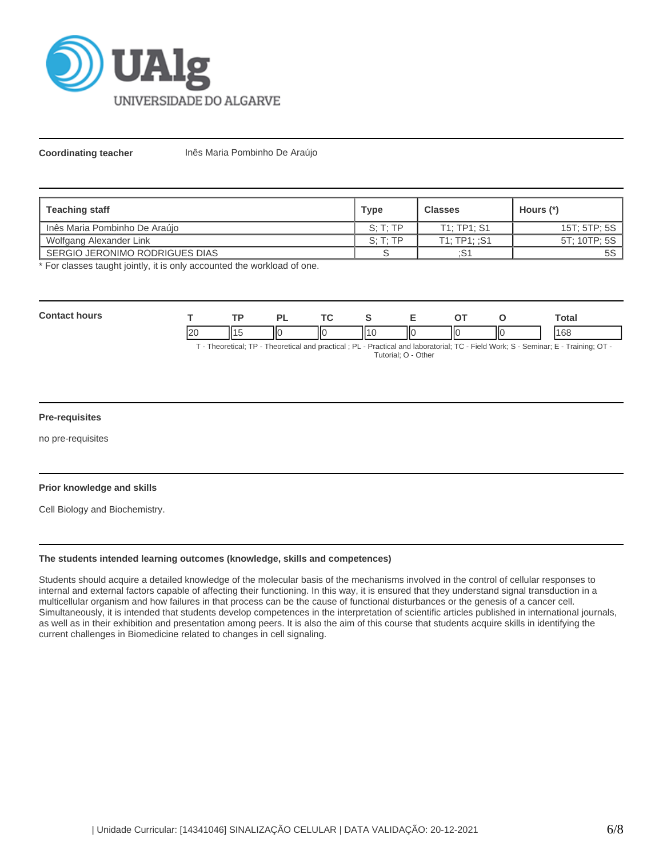

**Coordinating teacher** Inês Maria Pombinho De Araújo

| <b>Teaching staff</b>            | <b>Type</b> | <b>Classes</b> | Hours (*)    |  |
|----------------------------------|-------------|----------------|--------------|--|
| l Inês Maria Pombinho De Araújo  | S: T: TP    | T1: TP1: S1    | 15T; 5TP; 5S |  |
| Wolfgang Alexander Link          | S: T: TP    | T1:TP1:.S1     | 5T: 10TP: 5S |  |
| I SERGIO JERONIMO RODRIGUES DIAS |             | :S1            | 5S           |  |

\* For classes taught jointly, it is only accounted the workload of one.

| <b>Contact hours</b>  |    | TP  | <b>PL</b> | TC . | <b>S</b>            | Е  | ОT | O  | <b>Total</b>                                                                                                                       |
|-----------------------|----|-----|-----------|------|---------------------|----|----|----|------------------------------------------------------------------------------------------------------------------------------------|
|                       | 20 | 115 |           | ΠО   | ll10                | ПO |    | IЮ | 168                                                                                                                                |
|                       |    |     |           |      | Tutorial; O - Other |    |    |    | T - Theoretical; TP - Theoretical and practical; PL - Practical and laboratorial; TC - Field Work; S - Seminar; E - Training; OT - |
| <b>Pre-requisites</b> |    |     |           |      |                     |    |    |    |                                                                                                                                    |

no pre-requisites

#### **Prior knowledge and skills**

Cell Biology and Biochemistry.

## **The students intended learning outcomes (knowledge, skills and competences)**

Students should acquire a detailed knowledge of the molecular basis of the mechanisms involved in the control of cellular responses to internal and external factors capable of affecting their functioning. In this way, it is ensured that they understand signal transduction in a multicellular organism and how failures in that process can be the cause of functional disturbances or the genesis of a cancer cell. Simultaneously, it is intended that students develop competences in the interpretation of scientific articles published in international journals, as well as in their exhibition and presentation among peers. It is also the aim of this course that students acquire skills in identifying the current challenges in Biomedicine related to changes in cell signaling.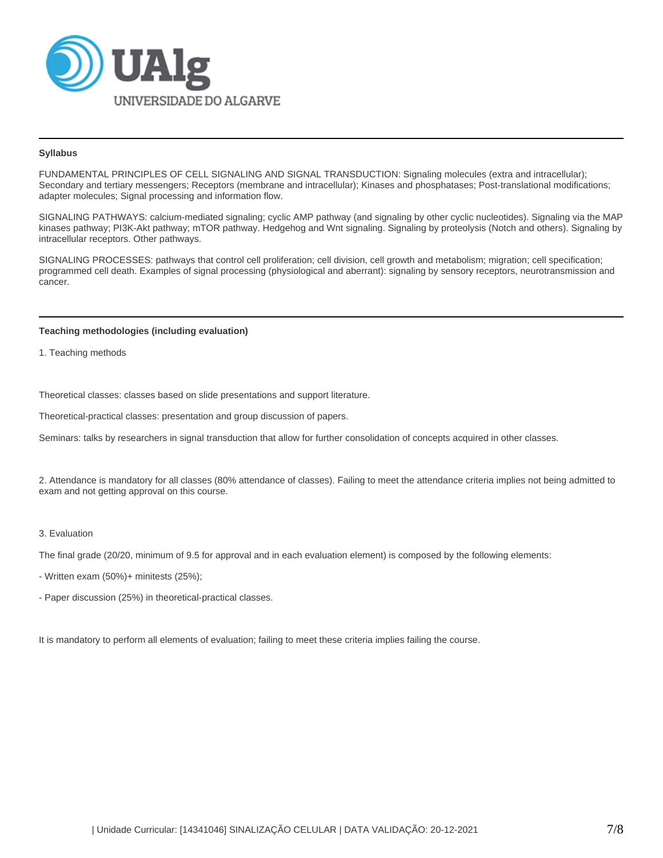

## **Syllabus**

FUNDAMENTAL PRINCIPLES OF CELL SIGNALING AND SIGNAL TRANSDUCTION: Signaling molecules (extra and intracellular); Secondary and tertiary messengers; Receptors (membrane and intracellular); Kinases and phosphatases; Post-translational modifications; adapter molecules; Signal processing and information flow.

SIGNALING PATHWAYS: calcium-mediated signaling; cyclic AMP pathway (and signaling by other cyclic nucleotides). Signaling via the MAP kinases pathway; PI3K-Akt pathway; mTOR pathway. Hedgehog and Wnt signaling. Signaling by proteolysis (Notch and others). Signaling by intracellular receptors. Other pathways.

SIGNALING PROCESSES: pathways that control cell proliferation; cell division, cell growth and metabolism; migration; cell specification; programmed cell death. Examples of signal processing (physiological and aberrant): signaling by sensory receptors, neurotransmission and cancer.

# **Teaching methodologies (including evaluation)**

1. Teaching methods

Theoretical classes: classes based on slide presentations and support literature.

Theoretical-practical classes: presentation and group discussion of papers.

Seminars: talks by researchers in signal transduction that allow for further consolidation of concepts acquired in other classes.

2. Attendance is mandatory for all classes (80% attendance of classes). Failing to meet the attendance criteria implies not being admitted to exam and not getting approval on this course.

# 3. Evaluation

The final grade (20/20, minimum of 9.5 for approval and in each evaluation element) is composed by the following elements:

- Written exam (50%)+ minitests (25%);

- Paper discussion (25%) in theoretical-practical classes.

It is mandatory to perform all elements of evaluation; failing to meet these criteria implies failing the course.